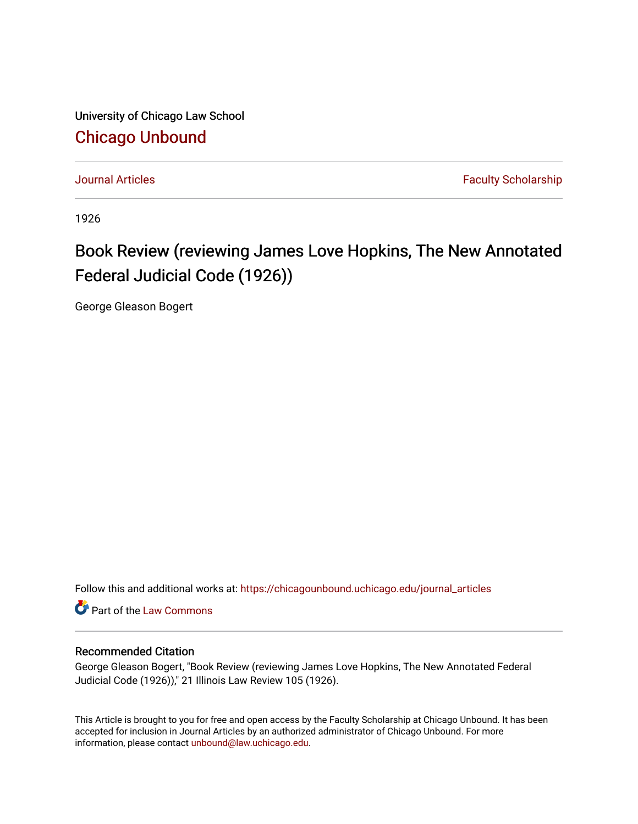University of Chicago Law School [Chicago Unbound](https://chicagounbound.uchicago.edu/)

[Journal Articles](https://chicagounbound.uchicago.edu/journal_articles) **Faculty Scholarship Journal Articles** 

1926

## Book Review (reviewing James Love Hopkins, The New Annotated Federal Judicial Code (1926))

George Gleason Bogert

Follow this and additional works at: [https://chicagounbound.uchicago.edu/journal\\_articles](https://chicagounbound.uchicago.edu/journal_articles?utm_source=chicagounbound.uchicago.edu%2Fjournal_articles%2F8941&utm_medium=PDF&utm_campaign=PDFCoverPages) 

Part of the [Law Commons](http://network.bepress.com/hgg/discipline/578?utm_source=chicagounbound.uchicago.edu%2Fjournal_articles%2F8941&utm_medium=PDF&utm_campaign=PDFCoverPages)

## Recommended Citation

George Gleason Bogert, "Book Review (reviewing James Love Hopkins, The New Annotated Federal Judicial Code (1926))," 21 Illinois Law Review 105 (1926).

This Article is brought to you for free and open access by the Faculty Scholarship at Chicago Unbound. It has been accepted for inclusion in Journal Articles by an authorized administrator of Chicago Unbound. For more information, please contact [unbound@law.uchicago.edu](mailto:unbound@law.uchicago.edu).